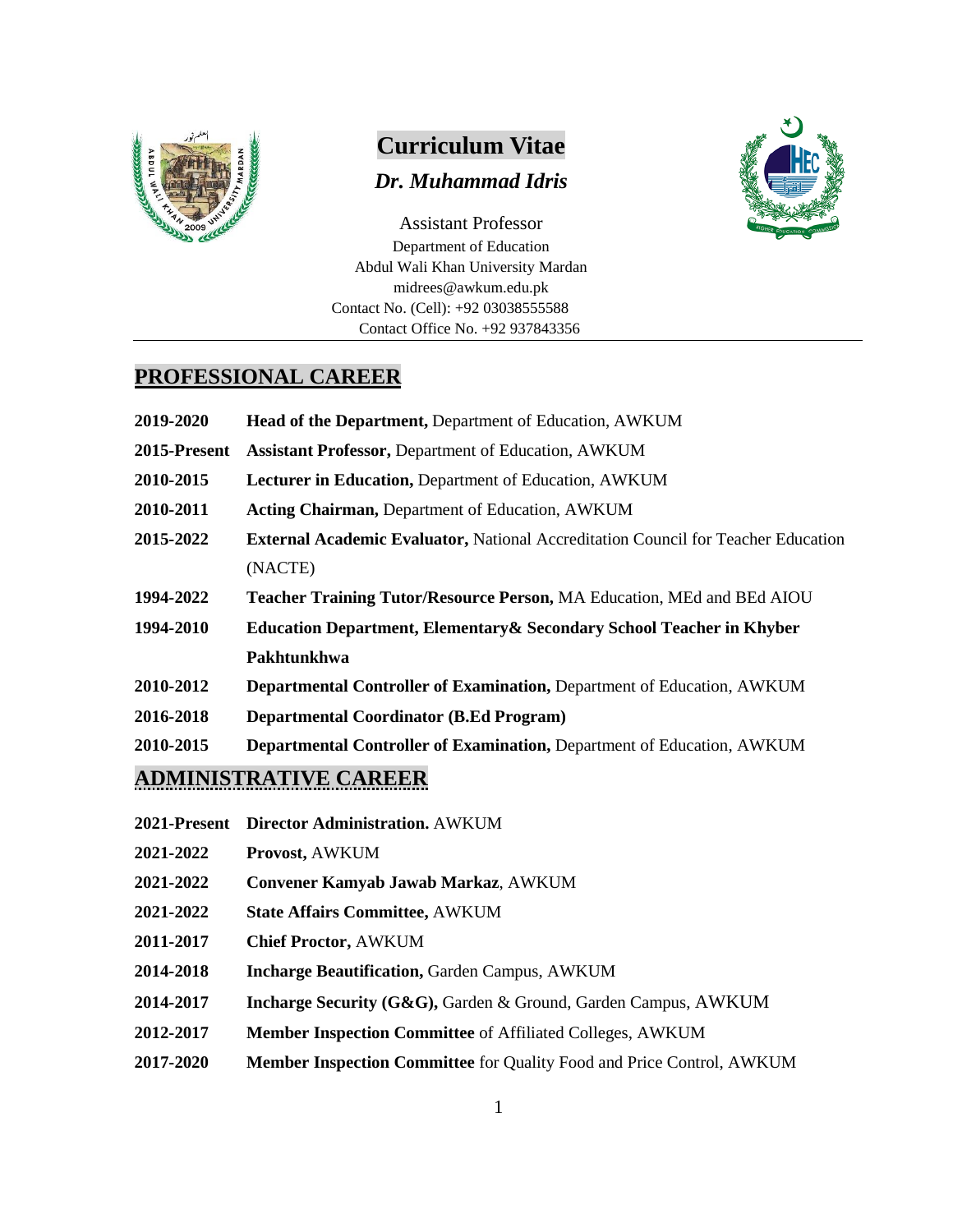

# **Curriculum Vitae**

#### *Dr. Muhammad Idris*



Assistant Professor Department of Education Abdul Wali Khan University Mardan midrees@awkum.edu.pk Contact No. (Cell): +92 03038555588 Contact Office No. +92 937843356

#### **PROFESSIONAL CAREER**

| 2019-2020    | Head of the Department, Department of Education, AWKUM                                   |  |  |
|--------------|------------------------------------------------------------------------------------------|--|--|
| 2015-Present | <b>Assistant Professor, Department of Education, AWKUM</b>                               |  |  |
| 2010-2015    | Lecturer in Education, Department of Education, AWKUM                                    |  |  |
| 2010-2011    | <b>Acting Chairman, Department of Education, AWKUM</b>                                   |  |  |
| 2015-2022    | <b>External Academic Evaluator, National Accreditation Council for Teacher Education</b> |  |  |
|              | (NACTE)                                                                                  |  |  |
| 1994-2022    | Teacher Training Tutor/Resource Person, MA Education, MEd and BEd AIOU                   |  |  |
| 1994-2010    | <b>Education Department, Elementary &amp; Secondary School Teacher in Khyber</b>         |  |  |
|              | Pakhtunkhwa                                                                              |  |  |
| 2010-2012    | Departmental Controller of Examination, Department of Education, AWKUM                   |  |  |
| 2016-2018    | <b>Departmental Coordinator (B.Ed Program)</b>                                           |  |  |
| 2010-2015    | Departmental Controller of Examination, Department of Education, AWKUM                   |  |  |
|              | <b>ADMINISTRATIVE CAREER</b>                                                             |  |  |

- **2021-Present Director Administration.** AWKUM
- **2021-2022 Provost,** AWKUM
- **2021-2022 Convener Kamyab Jawab Markaz**, AWKUM
- **2021-2022 State Affairs Committee,** AWKUM
- **2011-2017 Chief Proctor,** AWKUM
- **2014-2018 Incharge Beautification,** Garden Campus, AWKUM
- **2014-2017 Incharge Security (G&G),** Garden & Ground, Garden Campus, AWKUM
- **2012-2017 Member Inspection Committee** of Affiliated Colleges, AWKUM
- **2017-2020 Member Inspection Committee** for Quality Food and Price Control, AWKUM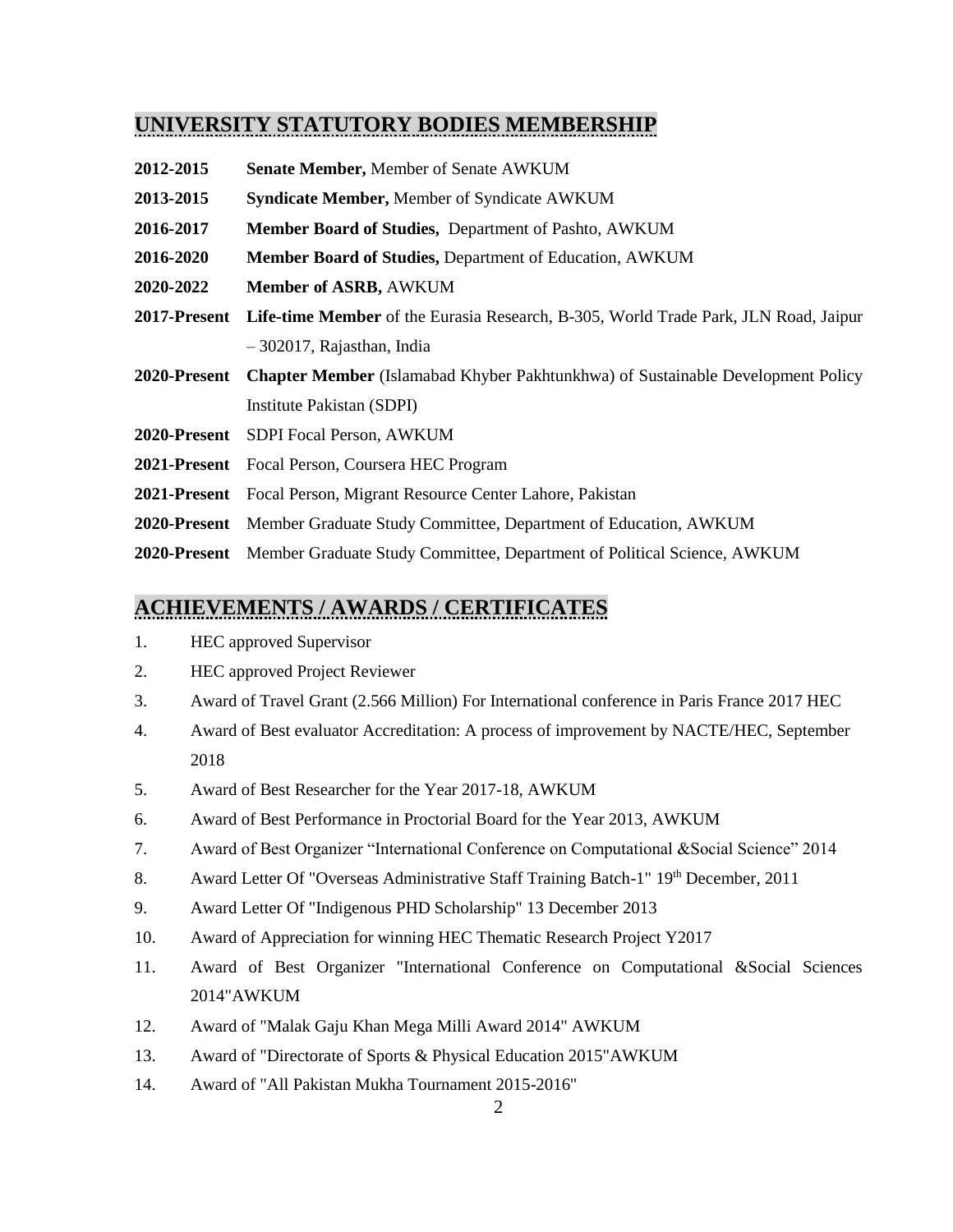### **UNIVERSITY STATUTORY BODIES MEMBERSHIP**

- **2012-2015 Senate Member,** Member of Senate AWKUM
- **2013-2015 Syndicate Member,** Member of Syndicate AWKUM
- **2016-2017 Member Board of Studies,** Department of Pashto, AWKUM
- **2016-2020 Member Board of Studies,** Department of Education, AWKUM
- **2020-2022 Member of ASRB,** AWKUM
- **2017-Present Life-time Member** of the Eurasia Research, B-305, World Trade Park, JLN Road, Jaipur – 302017, Rajasthan, India
- **2020-Present Chapter Member** (Islamabad Khyber Pakhtunkhwa) of Sustainable Development Policy Institute Pakistan (SDPI)
- **2020-Present** SDPI Focal Person, AWKUM
- **2021-Present** Focal Person, Coursera HEC Program
- **2021-Present** Focal Person, Migrant Resource Center Lahore, Pakistan
- **2020-Present** Member Graduate Study Committee, Department of Education, AWKUM
- **2020-Present** Member Graduate Study Committee, Department of Political Science, AWKUM

#### **ACHIEVEMENTS / AWARDS / CERTIFICATES**

- 1. HEC approved Supervisor
- 2. HEC approved Project Reviewer
- 3. Award of Travel Grant (2.566 Million) For International conference in Paris France 2017 HEC
- 4. Award of Best evaluator Accreditation: A process of improvement by NACTE/HEC, September 2018
- 5. Award of Best Researcher for the Year 2017-18, AWKUM
- 6. Award of Best Performance in Proctorial Board for the Year 2013, AWKUM
- 7. Award of Best Organizer "International Conference on Computational &Social Science" 2014
- 8. Award Letter Of "Overseas Administrative Staff Training Batch-1" 19th December, 2011
- 9. Award Letter Of "Indigenous PHD Scholarship" 13 December 2013
- 10. Award of Appreciation for winning HEC Thematic Research Project Y2017
- 11. Award of Best Organizer "International Conference on Computational &Social Sciences 2014"AWKUM
- 12. Award of "Malak Gaju Khan Mega Milli Award 2014" AWKUM
- 13. Award of "Directorate of Sports & Physical Education 2015"AWKUM
- 14. Award of "All Pakistan Mukha Tournament 2015-2016"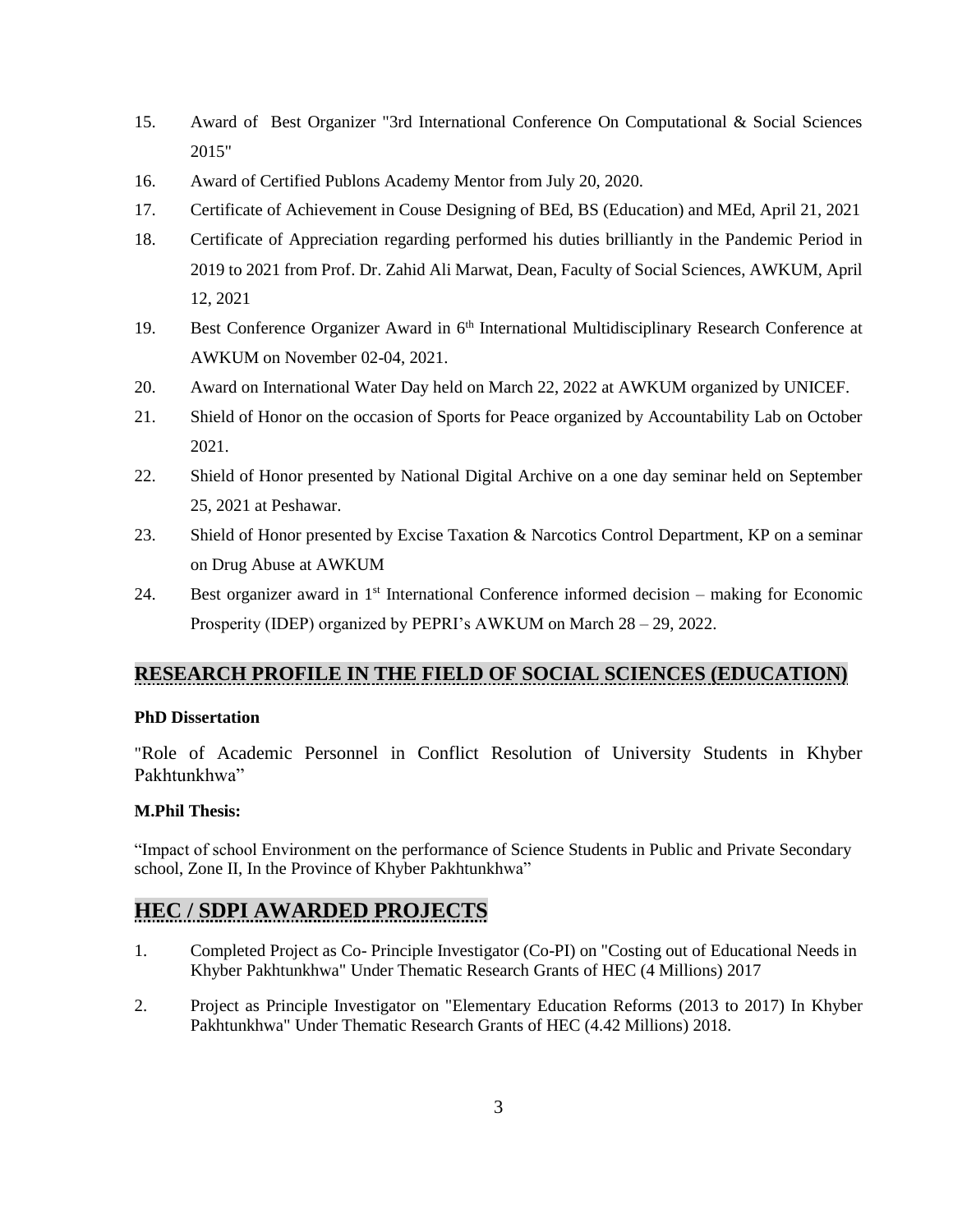- 15. Award of Best Organizer "3rd International Conference On Computational & Social Sciences 2015"
- 16. Award of Certified Publons Academy Mentor from July 20, 2020.
- 17. Certificate of Achievement in Couse Designing of BEd, BS (Education) and MEd, April 21, 2021
- 18. Certificate of Appreciation regarding performed his duties brilliantly in the Pandemic Period in 2019 to 2021 from Prof. Dr. Zahid Ali Marwat, Dean, Faculty of Social Sciences, AWKUM, April 12, 2021
- 19. Best Conference Organizer Award in 6<sup>th</sup> International Multidisciplinary Research Conference at AWKUM on November 02-04, 2021.
- 20. Award on International Water Day held on March 22, 2022 at AWKUM organized by UNICEF.
- 21. Shield of Honor on the occasion of Sports for Peace organized by Accountability Lab on October 2021.
- 22. Shield of Honor presented by National Digital Archive on a one day seminar held on September 25, 2021 at Peshawar.
- 23. Shield of Honor presented by Excise Taxation & Narcotics Control Department, KP on a seminar on Drug Abuse at AWKUM
- 24. Best organizer award in 1st International Conference informed decision making for Economic Prosperity (IDEP) organized by PEPRI's AWKUM on March 28 – 29, 2022.

## **RESEARCH PROFILE IN THE FIELD OF SOCIAL SCIENCES (EDUCATION)**

#### **PhD Dissertation**

"Role of Academic Personnel in Conflict Resolution of University Students in Khyber Pakhtunkhwa"

#### **M.Phil Thesis:**

"Impact of school Environment on the performance of Science Students in Public and Private Secondary school, Zone II, In the Province of Khyber Pakhtunkhwa"

## **HEC / SDPI AWARDED PROJECTS**

- 1. Completed Project as Co- Principle Investigator (Co-PI) on "Costing out of Educational Needs in Khyber Pakhtunkhwa" Under Thematic Research Grants of HEC (4 Millions) 2017
- 2. Project as Principle Investigator on "Elementary Education Reforms (2013 to 2017) In Khyber Pakhtunkhwa" Under Thematic Research Grants of HEC (4.42 Millions) 2018.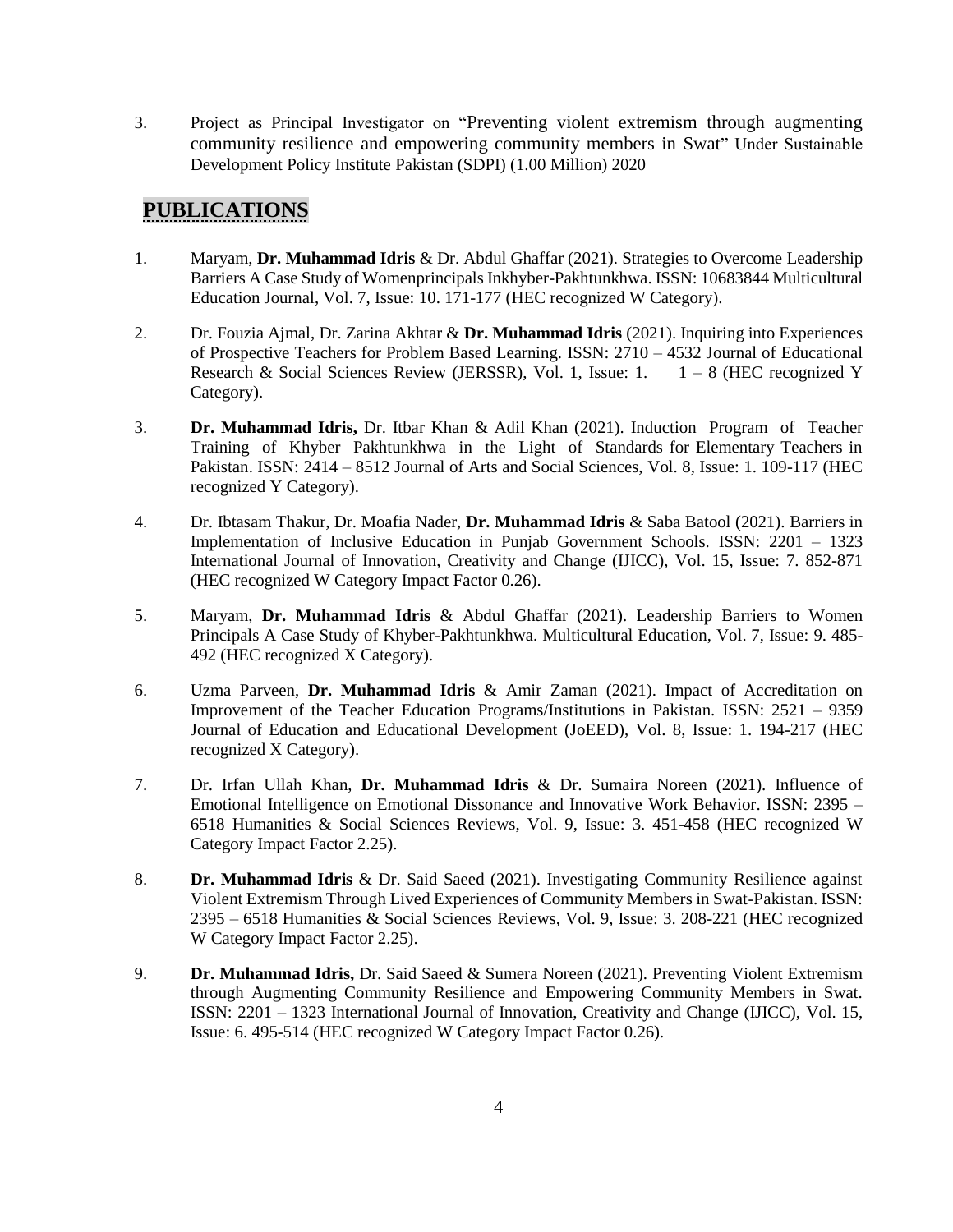3. Project as Principal Investigator on "Preventing violent extremism through augmenting community resilience and empowering community members in Swat" Under Sustainable Development Policy Institute Pakistan (SDPI) (1.00 Million) 2020

# **PUBLICATIONS**

- 1. Maryam, **Dr. Muhammad Idris** & Dr. Abdul Ghaffar (2021). Strategies to Overcome Leadership Barriers A Case Study of Womenprincipals Inkhyber-Pakhtunkhwa. ISSN: 10683844 Multicultural Education Journal, Vol. 7, Issue: 10. 171-177 (HEC recognized W Category).
- 2. Dr. Fouzia Ajmal, Dr. Zarina Akhtar & **Dr. Muhammad Idris** (2021). Inquiring into Experiences of Prospective Teachers for Problem Based Learning. ISSN: 2710 – 4532 Journal of Educational Research & Social Sciences Review (JERSSR), Vol. 1, Issue: 1.  $1 - 8$  (HEC recognized Y Category).
- 3. **Dr. Muhammad Idris,** Dr. Itbar Khan & Adil Khan (2021). Induction Program of Teacher Training of Khyber Pakhtunkhwa in the Light of Standards for Elementary Teachers in Pakistan. ISSN: 2414 – 8512 Journal of Arts and Social Sciences, Vol. 8, Issue: 1. 109-117 (HEC recognized Y Category).
- 4. Dr. Ibtasam Thakur, Dr. Moafia Nader, **Dr. Muhammad Idris** & Saba Batool (2021). Barriers in Implementation of Inclusive Education in Punjab Government Schools. ISSN: 2201 – 1323 International Journal of Innovation, Creativity and Change (IJICC), Vol. 15, Issue: 7. 852-871 (HEC recognized W Category Impact Factor 0.26).
- 5. Maryam, **Dr. Muhammad Idris** & Abdul Ghaffar (2021). Leadership Barriers to Women Principals A Case Study of Khyber-Pakhtunkhwa. Multicultural Education, Vol. 7, Issue: 9. 485- 492 (HEC recognized X Category).
- 6. Uzma Parveen, **Dr. Muhammad Idris** & Amir Zaman (2021). Impact of Accreditation on Improvement of the Teacher Education Programs/Institutions in Pakistan. ISSN: 2521 – 9359 Journal of Education and Educational Development (JoEED), Vol. 8, Issue: 1. 194-217 (HEC recognized X Category).
- 7. Dr. Irfan Ullah Khan, **Dr. Muhammad Idris** & Dr. Sumaira Noreen (2021). Influence of Emotional Intelligence on Emotional Dissonance and Innovative Work Behavior. ISSN: 2395 – 6518 Humanities & Social Sciences Reviews, Vol. 9, Issue: 3. 451-458 (HEC recognized W Category Impact Factor 2.25).
- 8. **Dr. Muhammad Idris** & Dr. Said Saeed (2021). Investigating Community Resilience against Violent Extremism Through Lived Experiences of Community Members in Swat-Pakistan. ISSN: 2395 – 6518 Humanities & Social Sciences Reviews, Vol. 9, Issue: 3. 208-221 (HEC recognized W Category Impact Factor 2.25).
- 9. **Dr. Muhammad Idris,** Dr. Said Saeed & Sumera Noreen (2021). Preventing Violent Extremism through Augmenting Community Resilience and Empowering Community Members in Swat. ISSN: 2201 – 1323 International Journal of Innovation, Creativity and Change (IJICC), Vol. 15, Issue: 6. 495-514 (HEC recognized W Category Impact Factor 0.26).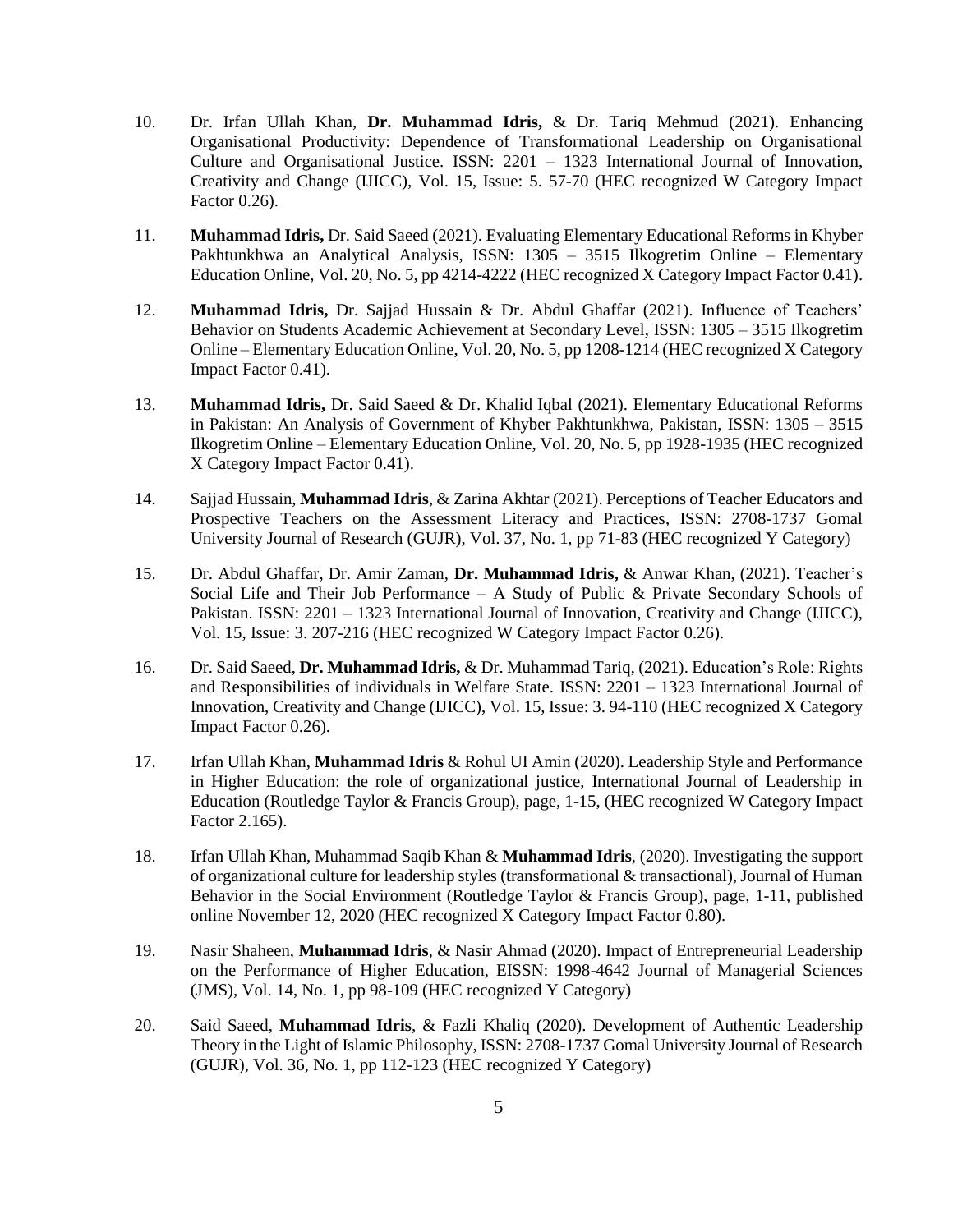- 10. Dr. Irfan Ullah Khan, **Dr. Muhammad Idris,** & Dr. Tariq Mehmud (2021). Enhancing Organisational Productivity: Dependence of Transformational Leadership on Organisational Culture and Organisational Justice. ISSN: 2201 – 1323 International Journal of Innovation, Creativity and Change (IJICC), Vol. 15, Issue: 5. 57-70 (HEC recognized W Category Impact Factor 0.26).
- 11. **Muhammad Idris,** Dr. Said Saeed (2021). Evaluating Elementary Educational Reforms in Khyber Pakhtunkhwa an Analytical Analysis, ISSN: 1305 – 3515 Ilkogretim Online – Elementary Education Online, Vol. 20, No. 5, pp 4214-4222 (HEC recognized X Category Impact Factor 0.41).
- 12. **Muhammad Idris,** Dr. Sajjad Hussain & Dr. Abdul Ghaffar (2021). Influence of Teachers' Behavior on Students Academic Achievement at Secondary Level, ISSN: 1305 – 3515 Ilkogretim Online – Elementary Education Online, Vol. 20, No. 5, pp 1208-1214 (HEC recognized X Category Impact Factor 0.41).
- 13. **Muhammad Idris,** Dr. Said Saeed & Dr. Khalid Iqbal (2021). Elementary Educational Reforms in Pakistan: An Analysis of Government of Khyber Pakhtunkhwa, Pakistan, ISSN: 1305 – 3515 Ilkogretim Online – Elementary Education Online, Vol. 20, No. 5, pp 1928-1935 (HEC recognized X Category Impact Factor 0.41).
- 14. Sajjad Hussain, **Muhammad Idris**, & Zarina Akhtar (2021). Perceptions of Teacher Educators and Prospective Teachers on the Assessment Literacy and Practices, ISSN: 2708-1737 Gomal University Journal of Research (GUJR), Vol. 37, No. 1, pp 71-83 (HEC recognized Y Category)
- 15. Dr. Abdul Ghaffar, Dr. Amir Zaman, **Dr. Muhammad Idris,** & Anwar Khan, (2021). Teacher's Social Life and Their Job Performance  $-$  A Study of Public & Private Secondary Schools of Pakistan. ISSN: 2201 – 1323 International Journal of Innovation, Creativity and Change (IJICC), Vol. 15, Issue: 3. 207-216 (HEC recognized W Category Impact Factor 0.26).
- 16. Dr. Said Saeed, **Dr. Muhammad Idris,** & Dr. Muhammad Tariq, (2021). Education's Role: Rights and Responsibilities of individuals in Welfare State. ISSN: 2201 – 1323 International Journal of Innovation, Creativity and Change (IJICC), Vol. 15, Issue: 3. 94-110 (HEC recognized X Category Impact Factor 0.26).
- 17. Irfan Ullah Khan, **Muhammad Idris** & Rohul UI Amin (2020). Leadership Style and Performance in Higher Education: the role of organizational justice, International Journal of Leadership in Education (Routledge Taylor & Francis Group), page, 1-15, (HEC recognized W Category Impact Factor 2.165).
- 18. Irfan Ullah Khan, Muhammad Saqib Khan & **Muhammad Idris**, (2020). Investigating the support of organizational culture for leadership styles (transformational & transactional), Journal of Human Behavior in the Social Environment (Routledge Taylor & Francis Group), page, 1-11, published online November 12, 2020 (HEC recognized X Category Impact Factor 0.80).
- 19. Nasir Shaheen, **Muhammad Idris**, & Nasir Ahmad (2020). Impact of Entrepreneurial Leadership on the Performance of Higher Education, EISSN: 1998-4642 Journal of Managerial Sciences (JMS), Vol. 14, No. 1, pp 98-109 (HEC recognized Y Category)
- 20. Said Saeed, **Muhammad Idris**, & Fazli Khaliq (2020). Development of Authentic Leadership Theory in the Light of Islamic Philosophy, ISSN: 2708-1737 Gomal University Journal of Research (GUJR), Vol. 36, No. 1, pp 112-123 (HEC recognized Y Category)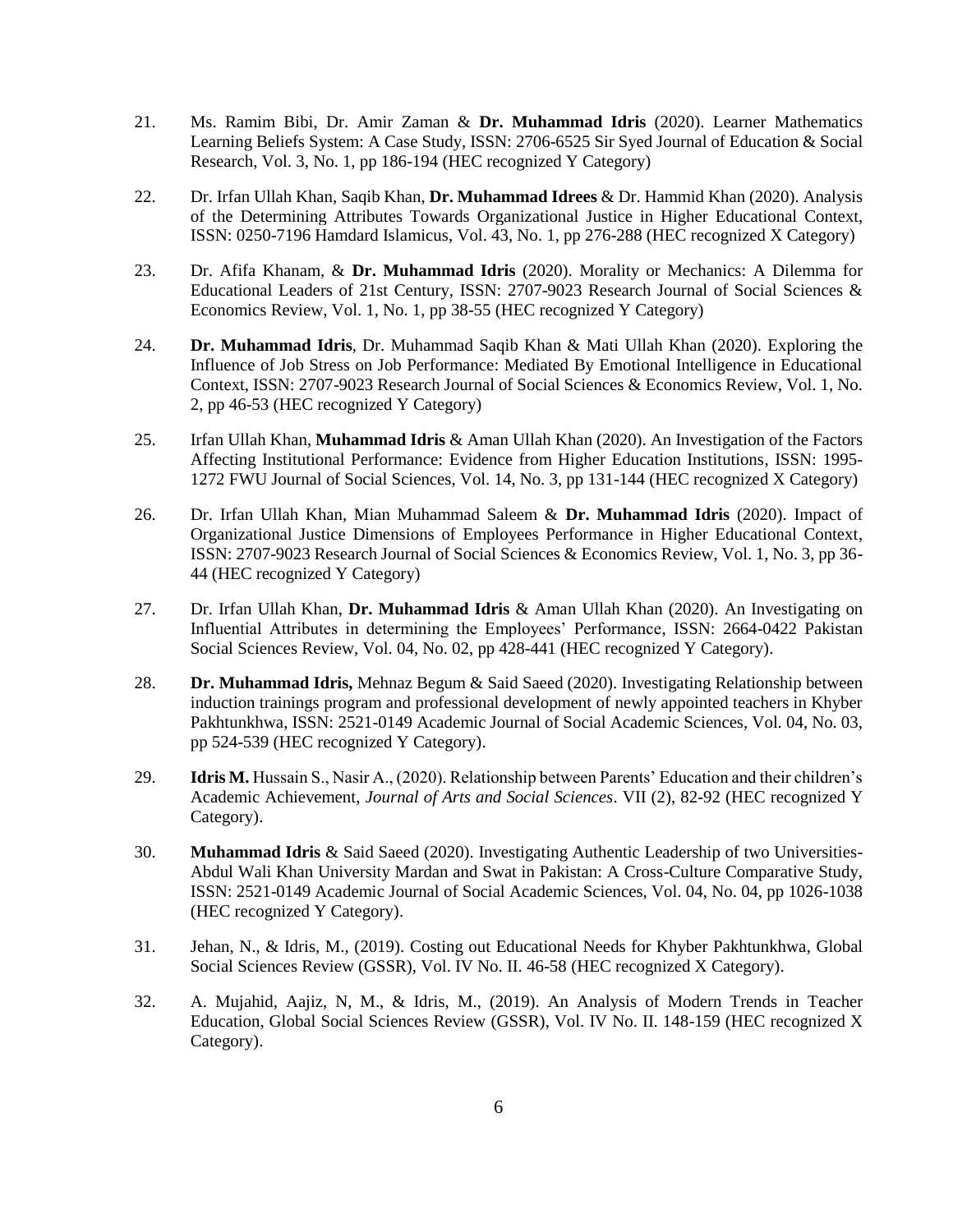- 21. Ms. Ramim Bibi, Dr. Amir Zaman & **Dr. Muhammad Idris** (2020). Learner Mathematics Learning Beliefs System: A Case Study, ISSN: 2706-6525 Sir Syed Journal of Education & Social Research, Vol. 3, No. 1, pp 186-194 (HEC recognized Y Category)
- 22. Dr. Irfan Ullah Khan, Saqib Khan, **Dr. Muhammad Idrees** & Dr. Hammid Khan (2020). Analysis of the Determining Attributes Towards Organizational Justice in Higher Educational Context, ISSN: 0250-7196 Hamdard Islamicus, Vol. 43, No. 1, pp 276-288 (HEC recognized X Category)
- 23. Dr. Afifa Khanam, & **Dr. Muhammad Idris** (2020). Morality or Mechanics: A Dilemma for Educational Leaders of 21st Century, ISSN: 2707-9023 Research Journal of Social Sciences & Economics Review, Vol. 1, No. 1, pp 38-55 (HEC recognized Y Category)
- 24. **Dr. Muhammad Idris**, Dr. Muhammad Saqib Khan & Mati Ullah Khan (2020). Exploring the Influence of Job Stress on Job Performance: Mediated By Emotional Intelligence in Educational Context, ISSN: 2707-9023 Research Journal of Social Sciences & Economics Review, Vol. 1, No. 2, pp 46-53 (HEC recognized Y Category)
- 25. Irfan Ullah Khan, **Muhammad Idris** & Aman Ullah Khan (2020). An Investigation of the Factors Affecting Institutional Performance: Evidence from Higher Education Institutions, ISSN: 1995- 1272 FWU Journal of Social Sciences, Vol. 14, No. 3, pp 131-144 (HEC recognized X Category)
- 26. Dr. Irfan Ullah Khan, Mian Muhammad Saleem & **Dr. Muhammad Idris** (2020). [Impact of](https://ojs.rjsser.org.pk/index.php/rjsser/article/view/68)  [Organizational Justice Dimensions of Employees Performance in Higher Educational Context,](https://ojs.rjsser.org.pk/index.php/rjsser/article/view/68) ISSN: 2707-9023 Research Journal of Social Sciences & Economics Review, Vol. 1, No. 3, pp 36- 44 (HEC recognized Y Category)
- 27. Dr. Irfan Ullah Khan, **Dr. Muhammad Idris** & Aman Ullah Khan (2020). [An](https://ojs.rjsser.org.pk/index.php/rjsser/article/view/68) Investigating on Influential Attributes in determining the Employees' Performance, ISSN: 2664-0422 Pakistan Social Sciences Review, Vol. 04, No. 02, pp 428-441 (HEC recognized Y Category).
- 28. **Dr. Muhammad Idris,** Mehnaz Begum & Said Saeed (2020). Investigating Relationship between induction trainings program and professional development of newly appointed teachers in Khyber Pakhtunkhwa, ISSN: 2521-0149 Academic Journal of Social Academic Sciences, Vol. 04, No. 03, pp 524-539 (HEC recognized Y Category).
- 29. **Idris M.** Hussain S., Nasir A., (2020). Relationship between Parents' Education and their children's Academic Achievement, *Journal of Arts and Social Sciences*. VII (2), 82-92 (HEC recognized Y Category).
- 30. **Muhammad Idris** & Said Saeed (2020). Investigating Authentic Leadership of two Universities-Abdul Wali Khan University Mardan and Swat in Pakistan: A Cross-Culture Comparative Study, ISSN: 2521-0149 Academic Journal of Social Academic Sciences, Vol. 04, No. 04, pp 1026-1038 (HEC recognized Y Category).
- 31. Jehan, N., & Idris, M., (2019). Costing out Educational Needs for Khyber Pakhtunkhwa, Global Social Sciences Review (GSSR), Vol. IV No. II. 46-58 (HEC recognized X Category).
- 32. A. Mujahid, Aajiz, N, M., & Idris, M., (2019). An Analysis of Modern Trends in Teacher Education, Global Social Sciences Review (GSSR), Vol. IV No. II. 148-159 (HEC recognized X Category).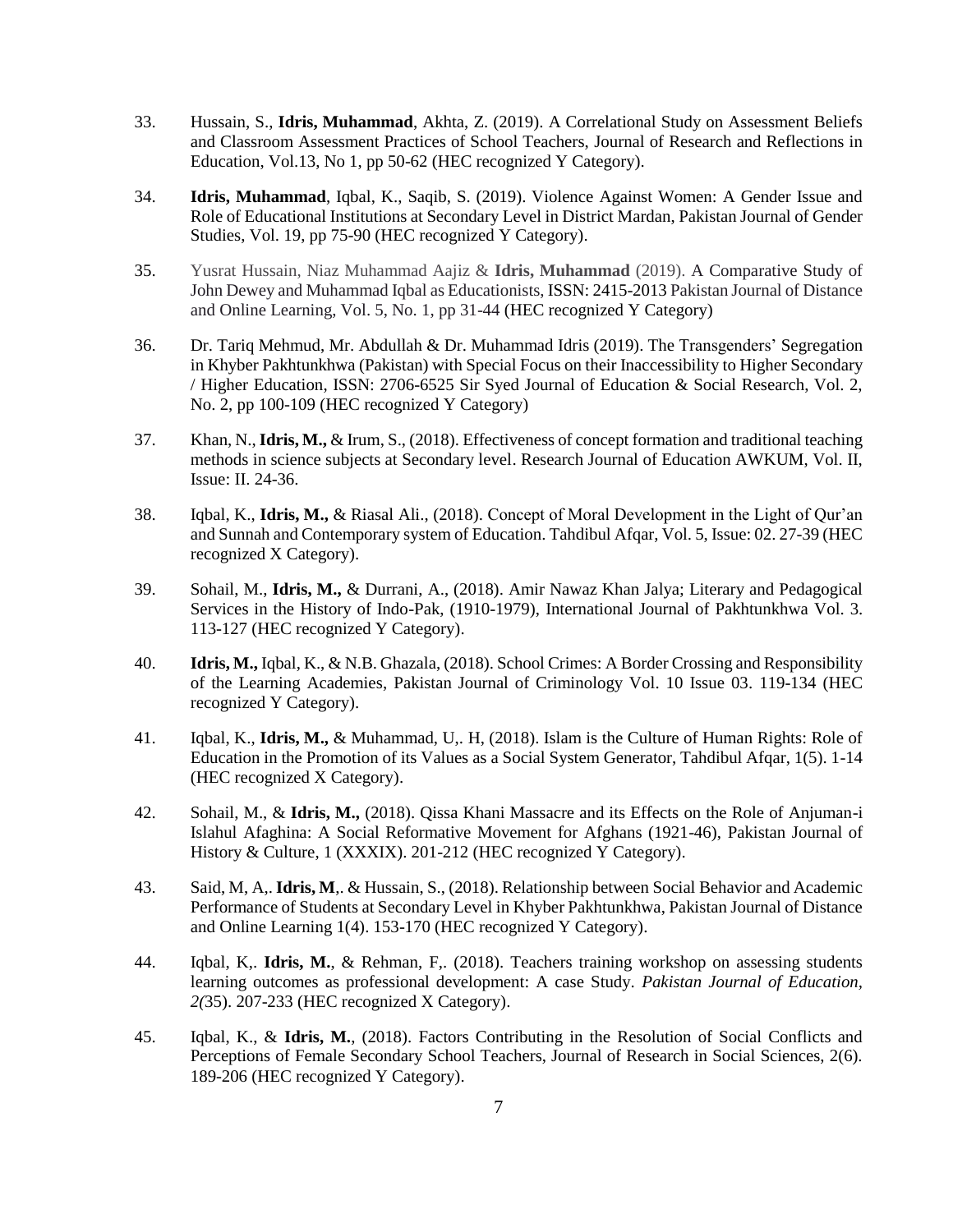- 33. Hussain, S., **Idris, Muhammad**, Akhta, Z. (2019). A Correlational Study on Assessment Beliefs and Classroom Assessment Practices of School Teachers, Journal of Research and Reflections in Education, Vol.13, No 1, pp 50-62 (HEC recognized Y Category).
- 34. **Idris, Muhammad**, Iqbal, K., Saqib, S. (2019). Violence Against Women: A Gender Issue and Role of Educational Institutions at Secondary Level in District Mardan, Pakistan Journal of Gender Studies, Vol. 19, pp 75-90 (HEC recognized Y Category).
- 35. Yusrat Hussain, Niaz Muhammad Aajiz & **Idris, Muhammad** (2019). A Comparative Study of John Dewey and Muhammad Iqbal as Educationists, ISSN: 2415-2013 Pakistan Journal of Distance and Online Learning, Vol. 5, No. 1, pp 31-44 (HEC recognized Y Category)
- 36. Dr. Tariq Mehmud, Mr. Abdullah & Dr. Muhammad Idris (2019). The Transgenders' Segregation in Khyber Pakhtunkhwa (Pakistan) with Special Focus on their Inaccessibility to Higher Secondary / Higher Education, ISSN: 2706-6525 Sir Syed Journal of Education & Social Research, Vol. 2, No. 2, pp 100-109 (HEC recognized Y Category)
- 37. Khan, N., **Idris, M.,** & Irum, S., (2018). Effectiveness of concept formation and traditional teaching methods in science subjects at Secondary level. Research Journal of Education AWKUM, Vol. II, Issue: II. 24-36.
- 38. Iqbal, K., **Idris, M.,** & Riasal Ali., (2018). Concept of Moral Development in the Light of Qur'an and Sunnah and Contemporary system of Education. Tahdibul Afqar, Vol. 5, Issue: 02. 27-39 (HEC recognized X Category).
- 39. Sohail, M., **Idris, M.,** & Durrani, A., (2018). Amir Nawaz Khan Jalya; Literary and Pedagogical Services in the History of Indo-Pak, (1910-1979), International Journal of Pakhtunkhwa Vol. 3. 113-127 (HEC recognized Y Category).
- 40. **Idris, M.,** Iqbal, K., & N.B. Ghazala, (2018). School Crimes: A Border Crossing and Responsibility of the Learning Academies, Pakistan Journal of Criminology Vol. 10 Issue 03. 119-134 (HEC recognized Y Category).
- 41. Iqbal, K., **Idris, M.,** & Muhammad, U,. H, (2018). Islam is the Culture of Human Rights: Role of Education in the Promotion of its Values as a Social System Generator, Tahdibul Afqar, 1(5). 1-14 (HEC recognized X Category).
- 42. Sohail, M., & **Idris, M.,** (2018). Qissa Khani Massacre and its Effects on the Role of Anjuman-i Islahul Afaghina: A Social Reformative Movement for Afghans (1921-46), Pakistan Journal of History & Culture, 1 (XXXIX). 201-212 (HEC recognized Y Category).
- 43. Said, M, A,. **Idris, M**,. & Hussain, S., (2018). Relationship between Social Behavior and Academic Performance of Students at Secondary Level in Khyber Pakhtunkhwa, Pakistan Journal of Distance and Online Learning 1(4). 153-170 (HEC recognized Y Category).
- 44. Iqbal, K,. **Idris, M.**, & Rehman, F,. (2018). Teachers training workshop on assessing students learning outcomes as professional development: A case Study. *Pakistan Journal of Education, 2(*35). 207-233 (HEC recognized X Category).
- 45. Iqbal, K., & **Idris, M.**, (2018). Factors Contributing in the Resolution of Social Conflicts and Perceptions of Female Secondary School Teachers, Journal of Research in Social Sciences, 2(6). 189-206 (HEC recognized Y Category).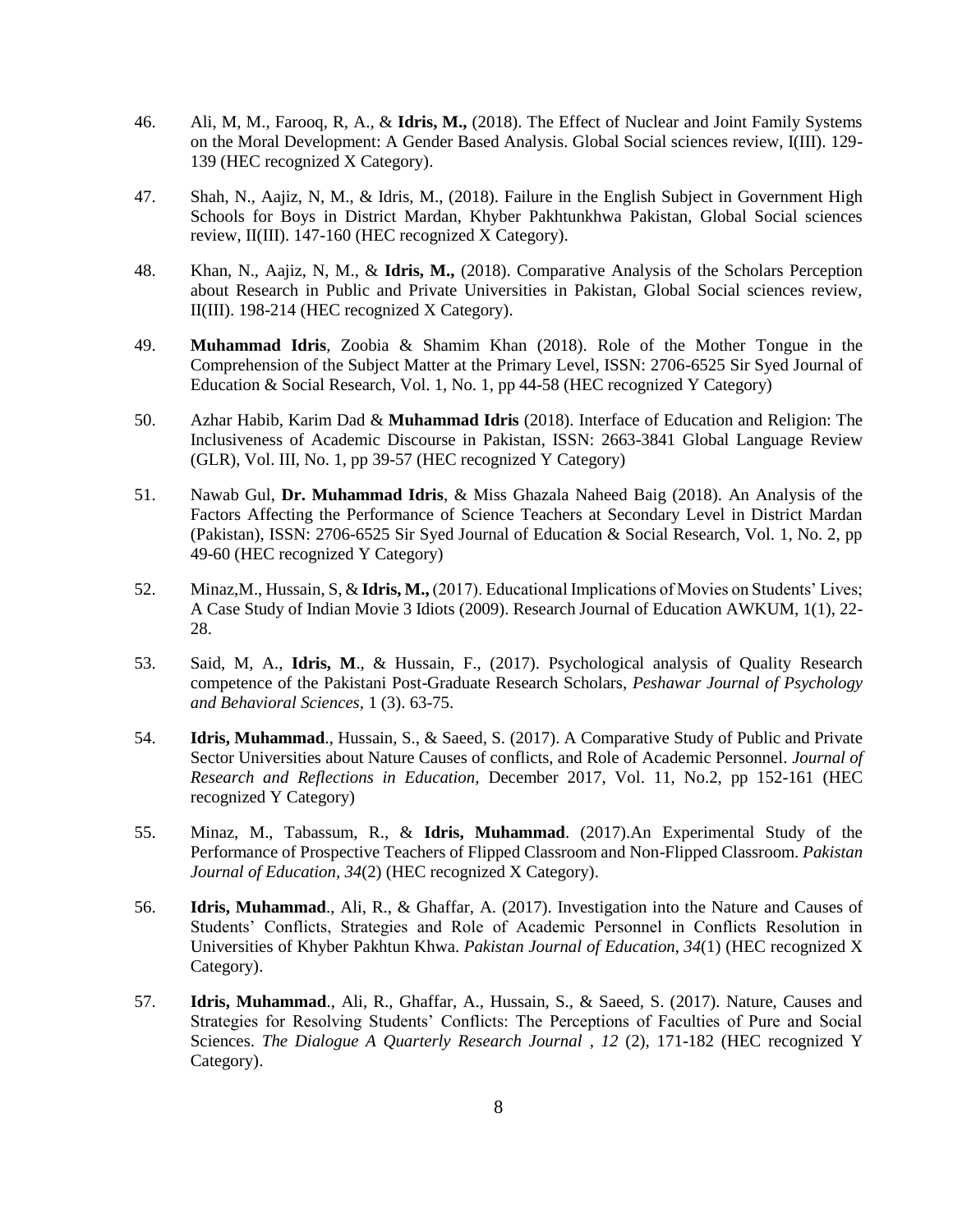- 46. Ali, M, M., Farooq, R, A., & **Idris, M.,** (2018). The Effect of Nuclear and Joint Family Systems on the Moral Development: A Gender Based Analysis. Global Social sciences review, I(III). 129- 139 (HEC recognized X Category).
- 47. Shah, N., Aajiz, N, M., & Idris, M., (2018). Failure in the English Subject in Government High Schools for Boys in District Mardan, Khyber Pakhtunkhwa Pakistan, Global Social sciences review, II(III). 147-160 (HEC recognized X Category).
- 48. Khan, N., Aajiz, N, M., & **Idris, M.,** (2018). Comparative Analysis of the Scholars Perception about Research in Public and Private Universities in Pakistan, Global Social sciences review, II(III). 198-214 (HEC recognized X Category).
- 49. **Muhammad Idris**, Zoobia & Shamim Khan (2018). Role of the Mother Tongue in the Comprehension of the Subject Matter at the Primary Level, ISSN: 2706-6525 Sir Syed Journal of Education & Social Research, Vol. 1, No. 1, pp 44-58 (HEC recognized Y Category)
- 50. Azhar Habib, Karim Dad & **Muhammad Idris** (2018). Interface of Education and Religion: The Inclusiveness of Academic Discourse in Pakistan, ISSN: 2663-3841 Global Language Review (GLR), Vol. III, No. 1, pp 39-57 (HEC recognized Y Category)
- 51. Nawab Gul, **Dr. Muhammad Idris**, & Miss Ghazala Naheed Baig (2018). An Analysis of the Factors Affecting the Performance of Science Teachers at Secondary Level in District Mardan (Pakistan), ISSN: 2706-6525 Sir Syed Journal of Education & Social Research, Vol. 1, No. 2, pp 49-60 (HEC recognized Y Category)
- 52. Minaz,M., Hussain, S, & **Idris, M.,** (2017). Educational Implications of Movies on Students' Lives; A Case Study of Indian Movie 3 Idiots (2009). Research Journal of Education AWKUM, 1(1), 22- 28.
- 53. Said, M, A., **Idris, M**., & Hussain, F., (2017). Psychological analysis of Quality Research competence of the Pakistani Post-Graduate Research Scholars, *Peshawar Journal of Psychology and Behavioral Sciences,* 1 (3). 63-75.
- 54. **Idris, Muhammad**., Hussain, S., & Saeed, S. (2017). A Comparative Study of Public and Private Sector Universities about Nature Causes of conflicts, and Role of Academic Personnel. *Journal of Research and Reflections in Education,* December 2017, Vol. 11, No.2, pp 152-161 (HEC recognized Y Category)
- 55. Minaz, M., Tabassum, R., & **Idris, Muhammad**. (2017).An Experimental Study of the Performance of Prospective Teachers of Flipped Classroom and Non-Flipped Classroom. *Pakistan Journal of Education, 34*(2) (HEC recognized X Category).
- 56. **Idris, Muhammad**., Ali, R., & Ghaffar, A. (2017). Investigation into the Nature and Causes of Students' Conflicts, Strategies and Role of Academic Personnel in Conflicts Resolution in Universities of Khyber Pakhtun Khwa. *Pakistan Journal of Education*, *34*(1) (HEC recognized X Category).
- 57. **Idris, Muhammad**., Ali, R., Ghaffar, A., Hussain, S., & Saeed, S. (2017). Nature, Causes and Strategies for Resolving Students' Conflicts: The Perceptions of Faculties of Pure and Social Sciences. *The Dialogue A Quarterly Research Journal , 12* (2), 171-182 (HEC recognized Y Category).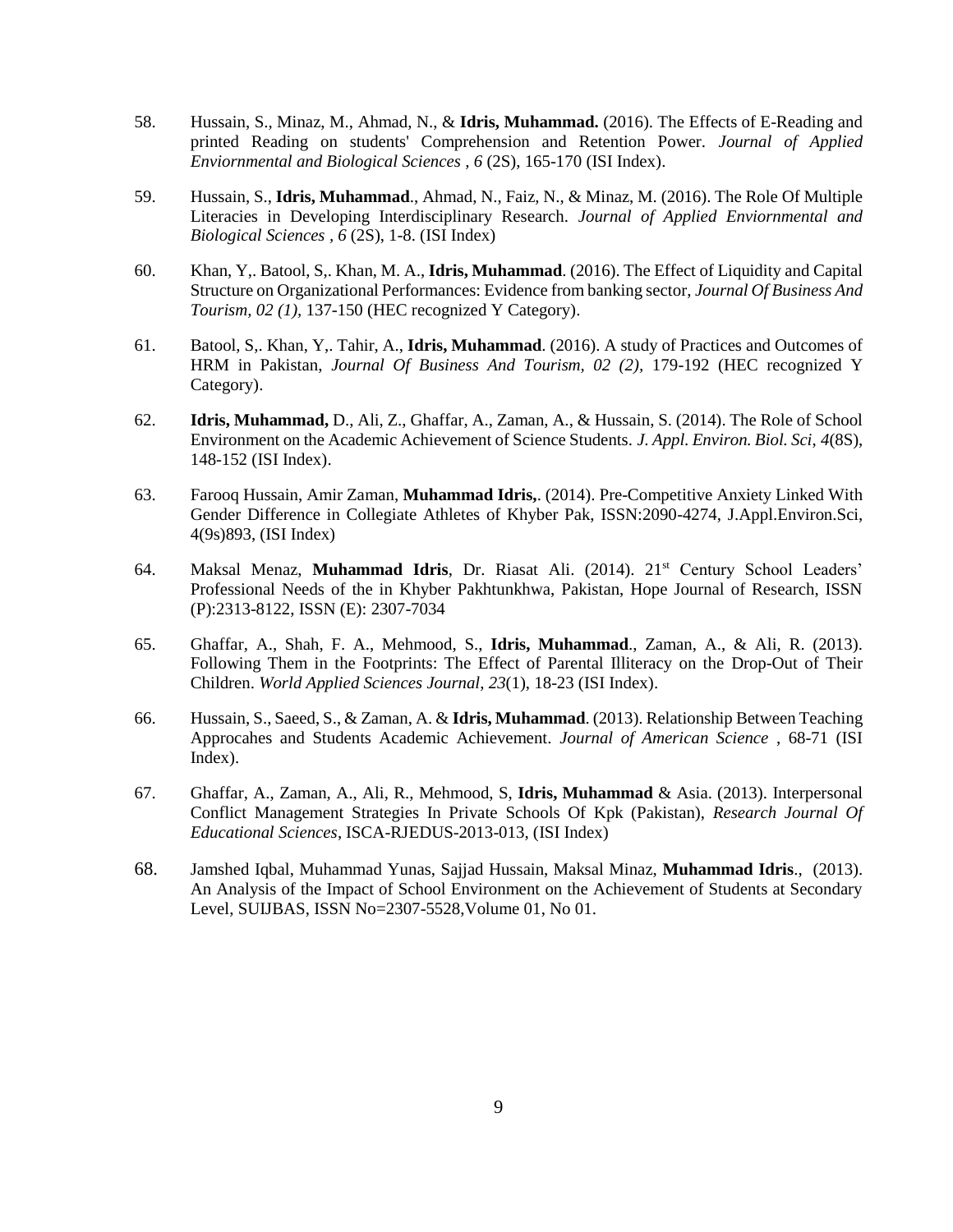- 58. Hussain, S., Minaz, M., Ahmad, N., & **Idris, Muhammad.** (2016). The Effects of E-Reading and printed Reading on students' Comprehension and Retention Power. *Journal of Applied Enviornmental and Biological Sciences , 6* (2S), 165-170 (ISI Index).
- 59. Hussain, S., **Idris, Muhammad**., Ahmad, N., Faiz, N., & Minaz, M. (2016). The Role Of Multiple Literacies in Developing Interdisciplinary Research. *Journal of Applied Enviornmental and Biological Sciences , 6* (2S), 1-8. (ISI Index)
- 60. Khan, Y,. Batool, S,. Khan, M. A., **Idris, Muhammad**. (2016). The Effect of Liquidity and Capital Structure on Organizational Performances: Evidence from banking sector, *Journal Of Business And Tourism, 02 (1),* 137-150 (HEC recognized Y Category).
- 61. Batool, S,. Khan, Y,. Tahir, A., **Idris, Muhammad**. (2016). A study of Practices and Outcomes of HRM in Pakistan, *Journal Of Business And Tourism, 02 (2),* 179-192 (HEC recognized Y Category).
- 62. **Idris, Muhammad,** D., Ali, Z., Ghaffar, A., Zaman, A., & Hussain, S. (2014). The Role of School Environment on the Academic Achievement of Science Students. *J. Appl. Environ. Biol. Sci*, *4*(8S), 148-152 (ISI Index).
- 63. Farooq Hussain, Amir Zaman, **Muhammad Idris,**. (2014). Pre-Competitive Anxiety Linked With Gender Difference in Collegiate Athletes of Khyber Pak, ISSN:2090-4274, J.Appl.Environ.Sci, 4(9s)893, (ISI Index)
- 64. Maksal Menaz, **Muhammad Idris**, Dr. Riasat Ali. (2014). 21st Century School Leaders' Professional Needs of the in Khyber Pakhtunkhwa, Pakistan, Hope Journal of Research, ISSN (P):2313-8122, ISSN (E): 2307-7034
- 65. Ghaffar, A., Shah, F. A., Mehmood, S., **Idris, Muhammad**., Zaman, A., & Ali, R. (2013). Following Them in the Footprints: The Effect of Parental Illiteracy on the Drop-Out of Their Children. *World Applied Sciences Journal*, *23*(1), 18-23 (ISI Index).
- 66. Hussain, S., Saeed, S., & Zaman, A. & **Idris, Muhammad**. (2013). Relationship Between Teaching Approcahes and Students Academic Achievement. *Journal of American Science* , 68-71 (ISI Index).
- 67. Ghaffar, A., Zaman, A., Ali, R., Mehmood, S, **Idris, Muhammad** & Asia. (2013). Interpersonal Conflict Management Strategies In Private Schools Of Kpk (Pakistan), *Research Journal Of Educational Sciences*, ISCA-RJEDUS-2013-013, (ISI Index)
- 68. Jamshed Iqbal, Muhammad Yunas, Sajjad Hussain, Maksal Minaz, **Muhammad Idris**., (2013). An Analysis of the Impact of School Environment on the Achievement of Students at Secondary Level, SUIJBAS, ISSN No=2307-5528,Volume 01, No 01.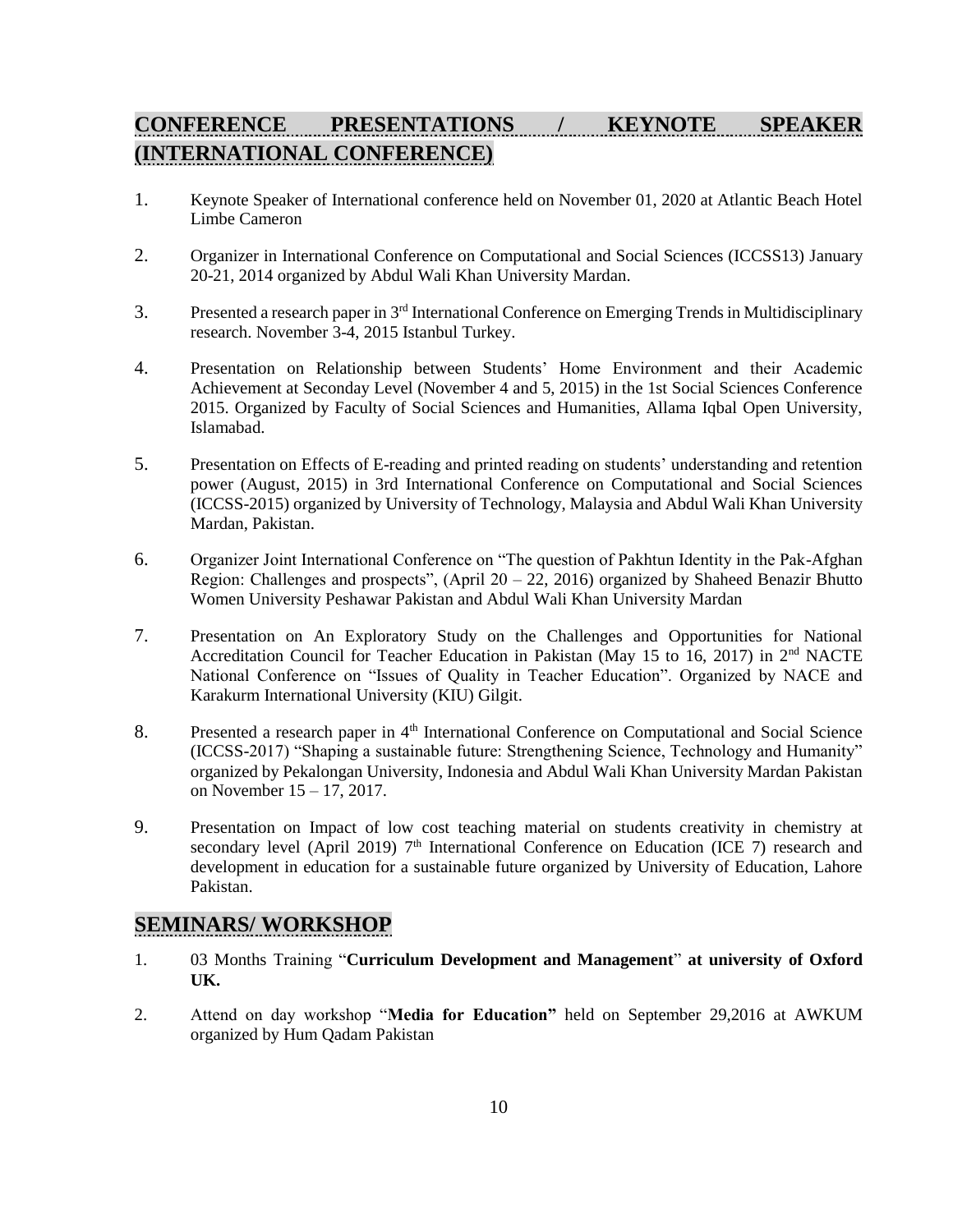# **CONFERENCE PRESENTATIONS / KEYNOTE SPEAKER (INTERNATIONAL CONFERENCE)**

- 1. Keynote Speaker of International conference held on November 01, 2020 at Atlantic Beach Hotel Limbe Cameron
- 2. Organizer in International Conference on Computational and Social Sciences (ICCSS13) January 20-21, 2014 organized by Abdul Wali Khan University Mardan.
- 3. Presented a research paper in 3<sup>rd</sup> International Conference on Emerging Trends in Multidisciplinary research. November 3-4, 2015 Istanbul Turkey.
- 4. Presentation on Relationship between Students' Home Environment and their Academic Achievement at Seconday Level (November 4 and 5, 2015) in the 1st Social Sciences Conference 2015. Organized by Faculty of Social Sciences and Humanities, Allama Iqbal Open University, Islamabad.
- 5. Presentation on Effects of E-reading and printed reading on students' understanding and retention power (August, 2015) in 3rd International Conference on Computational and Social Sciences (ICCSS-2015) organized by University of Technology, Malaysia and Abdul Wali Khan University Mardan, Pakistan.
- 6. Organizer Joint International Conference on "The question of Pakhtun Identity in the Pak-Afghan Region: Challenges and prospects", (April  $20 - 22$ , 2016) organized by Shaheed Benazir Bhutto Women University Peshawar Pakistan and Abdul Wali Khan University Mardan
- 7. Presentation on An Exploratory Study on the Challenges and Opportunities for National Accreditation Council for Teacher Education in Pakistan (May 15 to 16, 2017) in 2nd NACTE National Conference on "Issues of Quality in Teacher Education". Organized by NACE and Karakurm International University (KIU) Gilgit.
- 8. Presented a research paper in 4<sup>th</sup> International Conference on Computational and Social Science (ICCSS-2017) "Shaping a sustainable future: Strengthening Science, Technology and Humanity" organized by Pekalongan University, Indonesia and Abdul Wali Khan University Mardan Pakistan on November 15 – 17, 2017.
- 9. Presentation on Impact of low cost teaching material on students creativity in chemistry at secondary level (April 2019)  $7<sup>th</sup>$  International Conference on Education (ICE 7) research and development in education for a sustainable future organized by University of Education, Lahore Pakistan.

#### **SEMINARS/ WORKSHOP**

- 1. 03 Months Training "**Curriculum Development and Management**" **at university of Oxford UK.**
- 2. Attend on day workshop "**Media for Education"** held on September 29,2016 at AWKUM organized by Hum Qadam Pakistan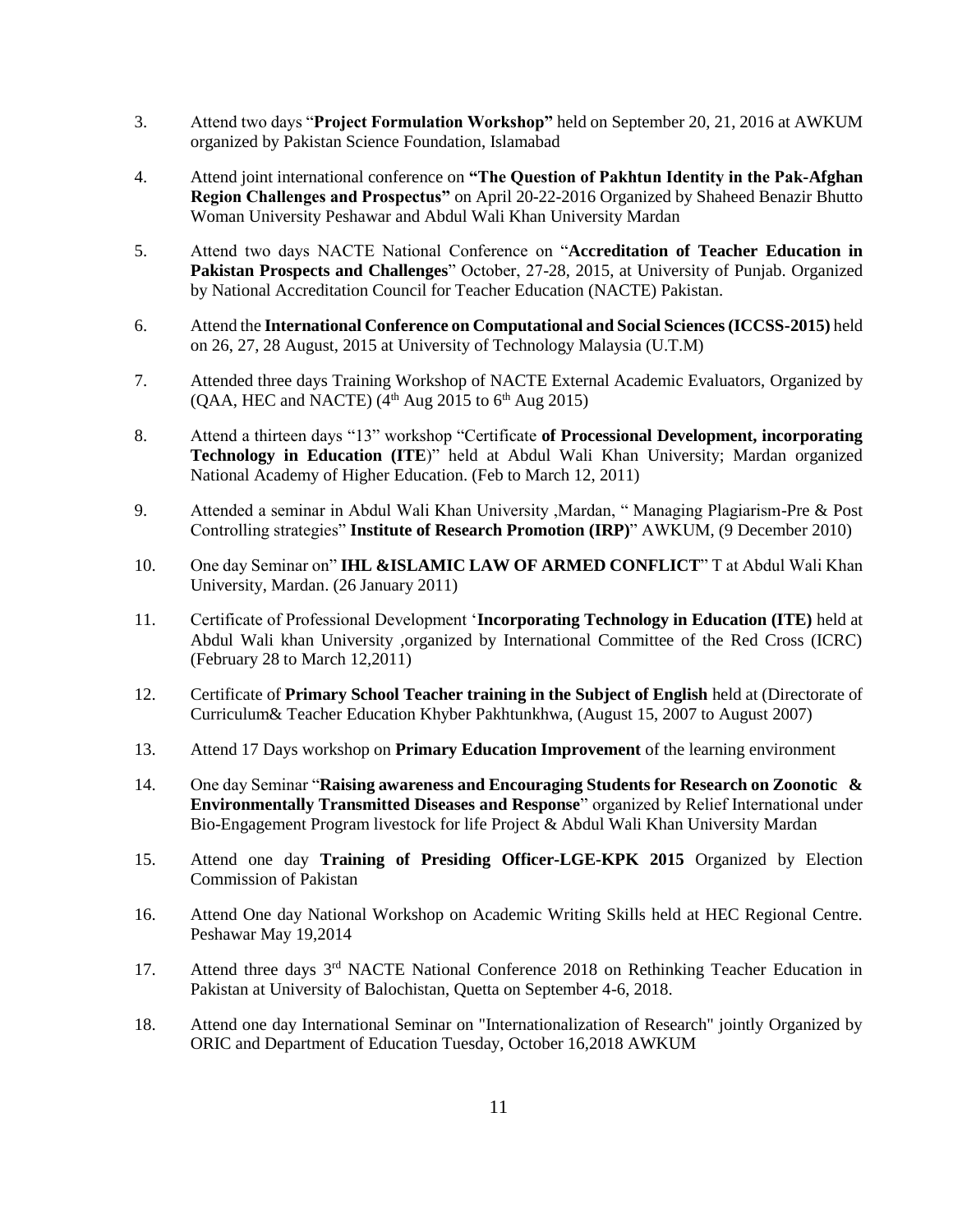- 3. Attend two days "**Project Formulation Workshop"** held on September 20, 21, 2016 at AWKUM organized by Pakistan Science Foundation, Islamabad
- 4. Attend joint international conference on **"The Question of Pakhtun Identity in the Pak-Afghan Region Challenges and Prospectus"** on April 20-22-2016 Organized by Shaheed Benazir Bhutto Woman University Peshawar and Abdul Wali Khan University Mardan
- 5. Attend two days NACTE National Conference on "**Accreditation of Teacher Education in Pakistan Prospects and Challenges**" October, 27-28, 2015, at University of Punjab. Organized by National Accreditation Council for Teacher Education (NACTE) Pakistan.
- 6. Attend the **International Conference on Computational and Social Sciences (ICCSS-2015)** held on 26, 27, 28 August, 2015 at University of Technology Malaysia (U.T.M)
- 7. Attended three days Training Workshop of NACTE External Academic Evaluators, Organized by  $(QAA, HEC and NACTE)$  (4<sup>th</sup> Aug 2015 to 6<sup>th</sup> Aug 2015)
- 8. Attend a thirteen days "13" workshop "Certificate **of Processional Development, incorporating Technology in Education (ITE**)" held at Abdul Wali Khan University; Mardan organized National Academy of Higher Education. (Feb to March 12, 2011)
- 9. Attended a seminar in Abdul Wali Khan University ,Mardan, " Managing Plagiarism-Pre & Post Controlling strategies" **Institute of Research Promotion (IRP)**" AWKUM, (9 December 2010)
- 10. One day Seminar on" **IHL &ISLAMIC LAW OF ARMED CONFLICT**" T at Abdul Wali Khan University, Mardan. (26 January 2011)
- 11. Certificate of Professional Development '**Incorporating Technology in Education (ITE)** held at Abdul Wali khan University ,organized by International Committee of the Red Cross (ICRC) (February 28 to March 12,2011)
- 12. Certificate of **Primary School Teacher training in the Subject of English** held at (Directorate of Curriculum& Teacher Education Khyber Pakhtunkhwa, (August 15, 2007 to August 2007)
- 13. Attend 17 Days workshop on **Primary Education Improvement** of the learning environment
- 14. One day Seminar "**Raising awareness and Encouraging Students for Research on Zoonotic & Environmentally Transmitted Diseases and Response**" organized by Relief International under Bio-Engagement Program livestock for life Project & Abdul Wali Khan University Mardan
- 15. Attend one day **Training of Presiding Officer-LGE-KPK 2015** Organized by Election Commission of Pakistan
- 16. Attend One day National Workshop on Academic Writing Skills held at HEC Regional Centre. Peshawar May 19,2014
- 17. Attend three days 3rd NACTE National Conference 2018 on Rethinking Teacher Education in Pakistan at University of Balochistan, Quetta on September 4-6, 2018.
- 18. Attend one day International Seminar on "Internationalization of Research" jointly Organized by ORIC and Department of Education Tuesday, October 16,2018 AWKUM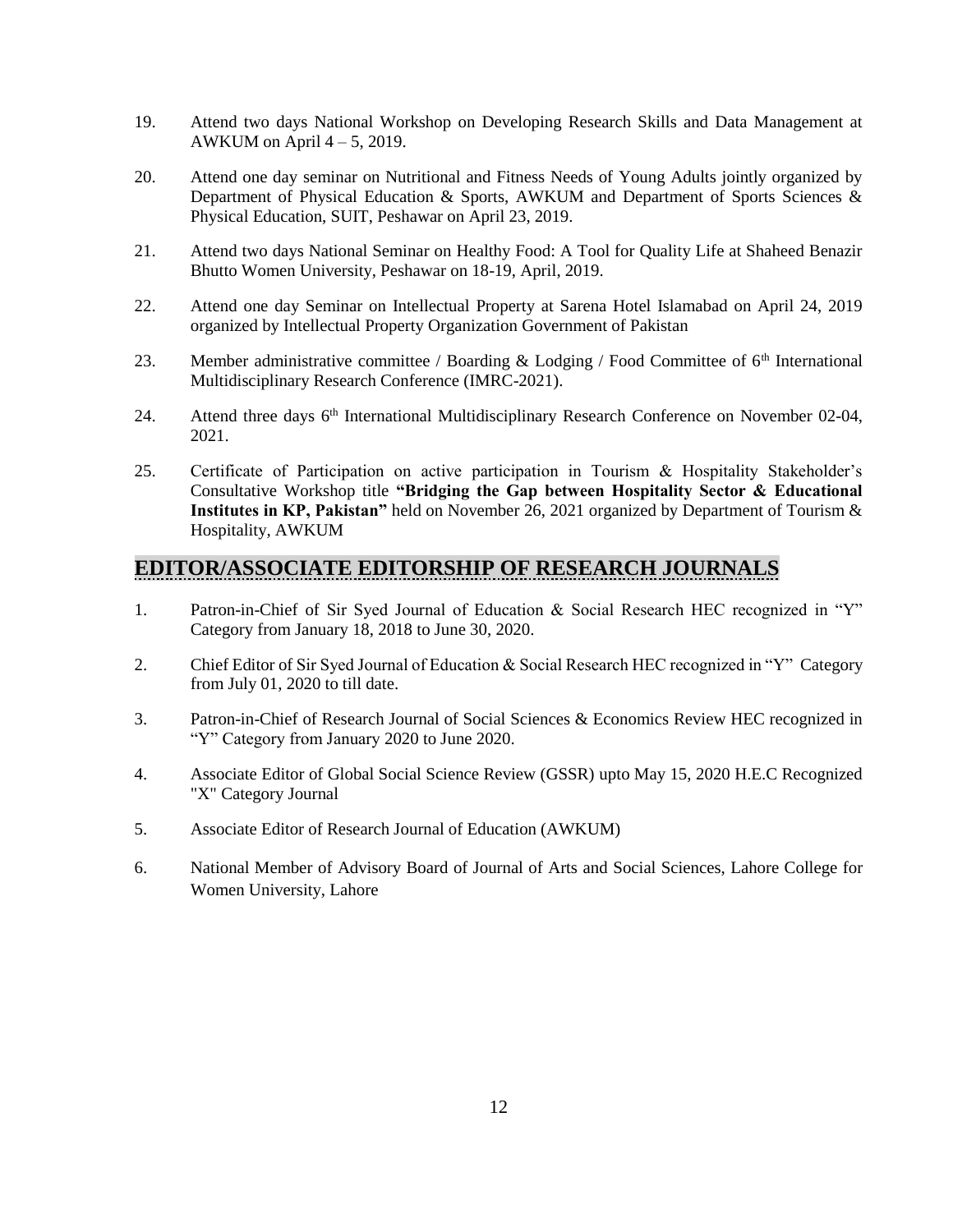- 19. Attend two days National Workshop on Developing Research Skills and Data Management at AWKUM on April  $4 - 5$ , 2019.
- 20. Attend one day seminar on Nutritional and Fitness Needs of Young Adults jointly organized by Department of Physical Education & Sports, AWKUM and Department of Sports Sciences & Physical Education, SUIT, Peshawar on April 23, 2019.
- 21. Attend two days National Seminar on Healthy Food: A Tool for Quality Life at Shaheed Benazir Bhutto Women University, Peshawar on 18-19, April, 2019.
- 22. Attend one day Seminar on Intellectual Property at Sarena Hotel Islamabad on April 24, 2019 organized by Intellectual Property Organization Government of Pakistan
- 23. Member administrative committee / Boarding & Lodging / Food Committee of  $6<sup>th</sup>$  International Multidisciplinary Research Conference (IMRC-2021).
- 24. Attend three days 6<sup>th</sup> International Multidisciplinary Research Conference on November 02-04, 2021.
- 25. Certificate of Participation on active participation in Tourism & Hospitality Stakeholder's Consultative Workshop title **"Bridging the Gap between Hospitality Sector & Educational Institutes in KP, Pakistan"** held on November 26, 2021 organized by Department of Tourism & Hospitality, AWKUM

### **EDITOR/ASSOCIATE EDITORSHIP OF RESEARCH JOURNALS**

- 1. Patron-in-Chief of Sir Syed Journal of Education & Social Research HEC recognized in "Y" Category from January 18, 2018 to June 30, 2020.
- 2. Chief Editor of Sir Syed Journal of Education & Social Research HEC recognized in "Y" Category from July 01, 2020 to till date.
- 3. Patron-in-Chief of Research Journal of Social Sciences & Economics Review HEC recognized in "Y" Category from January 2020 to June 2020.
- 4. Associate Editor of Global Social Science Review (GSSR) upto May 15, 2020 H.E.C Recognized "X" Category Journal
- 5. Associate Editor of Research Journal of Education (AWKUM)
- 6. National Member of Advisory Board of Journal of Arts and Social Sciences, Lahore College for Women University, Lahore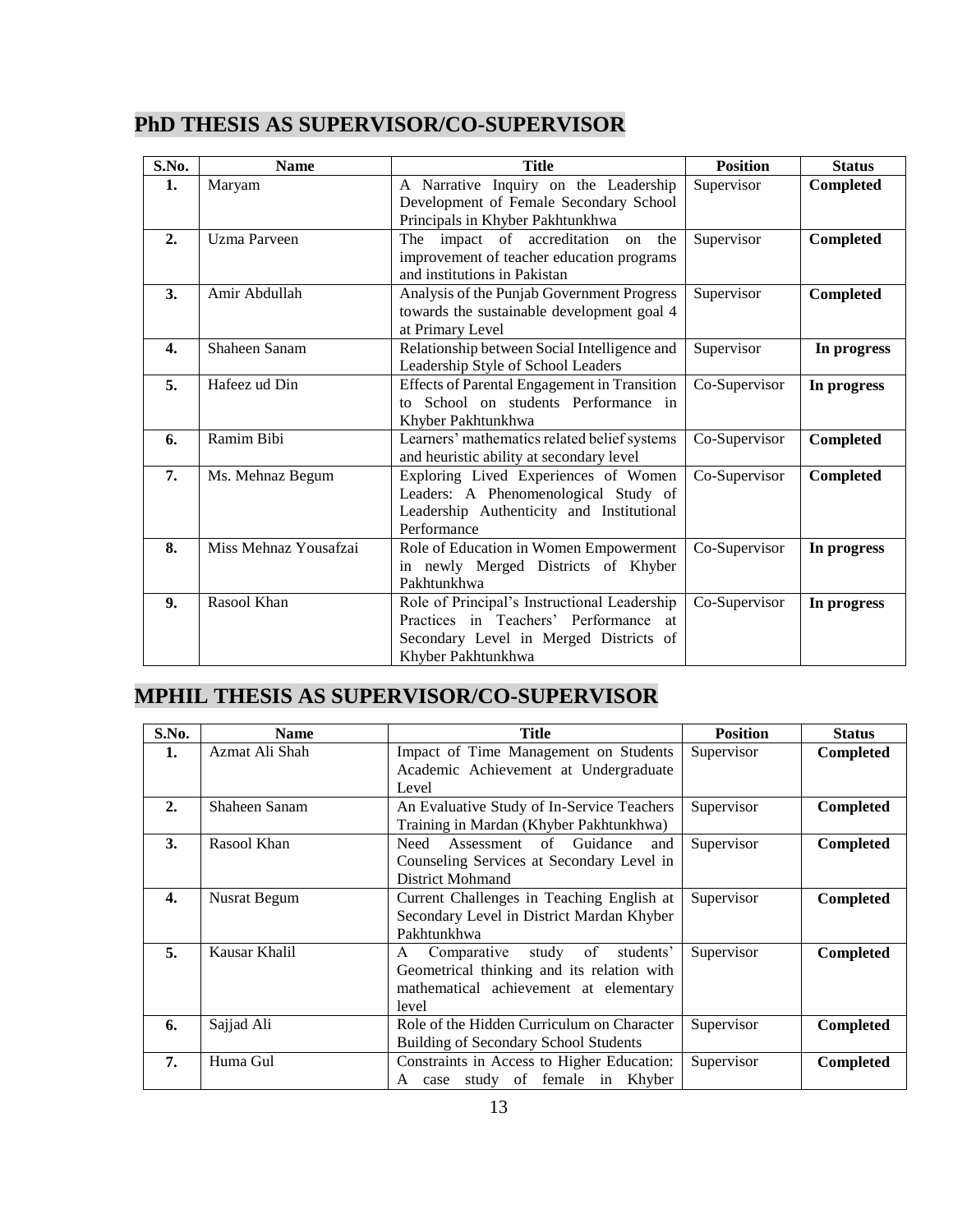| S.No.            | <b>Name</b>           | <b>Title</b>                                                                                                                                          | <b>Position</b> | <b>Status</b> |
|------------------|-----------------------|-------------------------------------------------------------------------------------------------------------------------------------------------------|-----------------|---------------|
| 1.               | Maryam                | A Narrative Inquiry on the Leadership<br>Development of Female Secondary School<br>Principals in Khyber Pakhtunkhwa                                   | Supervisor      | Completed     |
| 2.               | <b>Uzma Parveen</b>   | The impact of accreditation on<br>the<br>improvement of teacher education programs<br>and institutions in Pakistan                                    | Supervisor      | Completed     |
| 3.               | Amir Abdullah         | Analysis of the Punjab Government Progress<br>towards the sustainable development goal 4<br>at Primary Level                                          | Supervisor      | Completed     |
| $\overline{4}$ . | Shaheen Sanam         | Relationship between Social Intelligence and<br>Leadership Style of School Leaders                                                                    | Supervisor      | In progress   |
| 5.               | Hafeez ud Din         | <b>Effects of Parental Engagement in Transition</b><br>to School on students Performance in<br>Khyber Pakhtunkhwa                                     | Co-Supervisor   | In progress   |
| 6.               | Ramim Bibi            | Learners' mathematics related belief systems<br>and heuristic ability at secondary level                                                              | Co-Supervisor   | Completed     |
| 7.               | Ms. Mehnaz Begum      | Exploring Lived Experiences of Women<br>Leaders: A Phenomenological Study of<br>Leadership Authenticity and Institutional<br>Performance              | Co-Supervisor   | Completed     |
| 8.               | Miss Mehnaz Yousafzai | Role of Education in Women Empowerment<br>in newly Merged Districts of Khyber<br>Pakhtunkhwa                                                          | Co-Supervisor   | In progress   |
| 9.               | Rasool Khan           | Role of Principal's Instructional Leadership<br>Practices in Teachers' Performance at<br>Secondary Level in Merged Districts of<br>Khyber Pakhtunkhwa | Co-Supervisor   | In progress   |

# **PhD THESIS AS SUPERVISOR/CO-SUPERVISOR**

# **MPHIL THESIS AS SUPERVISOR/CO-SUPERVISOR**

| S.No.        | <b>Name</b>    | <b>Title</b>                                 | <b>Position</b> | <b>Status</b>    |
|--------------|----------------|----------------------------------------------|-----------------|------------------|
| 1.           | Azmat Ali Shah | Impact of Time Management on Students        | Supervisor      | Completed        |
|              |                | Academic Achievement at Undergraduate        |                 |                  |
|              |                | Level                                        |                 |                  |
| 2.           | Shaheen Sanam  | An Evaluative Study of In-Service Teachers   | Supervisor      | <b>Completed</b> |
|              |                | Training in Mardan (Khyber Pakhtunkhwa)      |                 |                  |
| 3.           | Rasool Khan    | Need<br>Assessment of Guidance<br>and        | Supervisor      | Completed        |
|              |                | Counseling Services at Secondary Level in    |                 |                  |
|              |                | <b>District Mohmand</b>                      |                 |                  |
| $\mathbf{4}$ | Nusrat Begum   | Current Challenges in Teaching English at    | Supervisor      | Completed        |
|              |                | Secondary Level in District Mardan Khyber    |                 |                  |
|              |                | Pakhtunkhwa                                  |                 |                  |
| 5.           | Kausar Khalil  | study of<br>students'<br>Comparative<br>A    | Supervisor      | Completed        |
|              |                | Geometrical thinking and its relation with   |                 |                  |
|              |                | mathematical achievement at elementary       |                 |                  |
|              |                | level                                        |                 |                  |
| 6.           | Sajjad Ali     | Role of the Hidden Curriculum on Character   | Supervisor      | <b>Completed</b> |
|              |                | <b>Building of Secondary School Students</b> |                 |                  |
| 7.           | Huma Gul       | Constraints in Access to Higher Education:   | Supervisor      | <b>Completed</b> |
|              |                | A case study of female in Khyber             |                 |                  |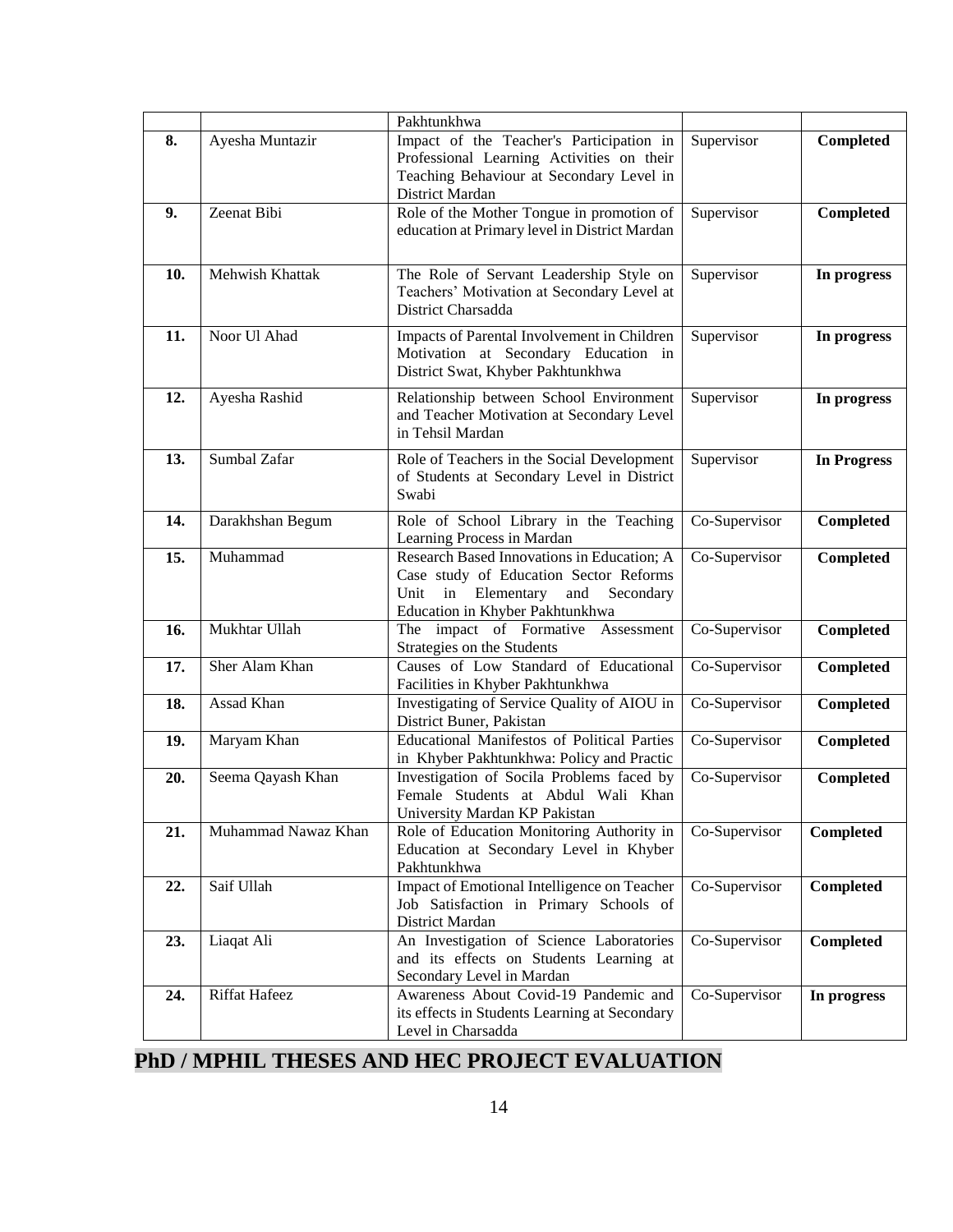|     |                     | Pakhtunkhwa                                                                                                                                                          |               |                    |
|-----|---------------------|----------------------------------------------------------------------------------------------------------------------------------------------------------------------|---------------|--------------------|
| 8.  | Ayesha Muntazir     | Impact of the Teacher's Participation in<br>Professional Learning Activities on their<br>Teaching Behaviour at Secondary Level in<br>District Mardan                 | Supervisor    | Completed          |
| 9.  | Zeenat Bibi         | Role of the Mother Tongue in promotion of<br>education at Primary level in District Mardan                                                                           | Supervisor    | Completed          |
| 10. | Mehwish Khattak     | The Role of Servant Leadership Style on<br>Teachers' Motivation at Secondary Level at<br>District Charsadda                                                          | Supervisor    | In progress        |
| 11. | Noor Ul Ahad        | Impacts of Parental Involvement in Children<br>Motivation at Secondary Education in<br>District Swat, Khyber Pakhtunkhwa                                             | Supervisor    | In progress        |
| 12. | Ayesha Rashid       | Relationship between School Environment<br>and Teacher Motivation at Secondary Level<br>in Tehsil Mardan                                                             | Supervisor    | In progress        |
| 13. | Sumbal Zafar        | Role of Teachers in the Social Development<br>of Students at Secondary Level in District<br>Swabi                                                                    | Supervisor    | <b>In Progress</b> |
| 14. | Darakhshan Begum    | Role of School Library in the Teaching<br>Learning Process in Mardan                                                                                                 | Co-Supervisor | Completed          |
| 15. | Muhammad            | Research Based Innovations in Education; A<br>Case study of Education Sector Reforms<br>in Elementary<br>Unit<br>and<br>Secondary<br>Education in Khyber Pakhtunkhwa | Co-Supervisor | Completed          |
| 16. | Mukhtar Ullah       | The impact of Formative Assessment<br>Strategies on the Students                                                                                                     | Co-Supervisor | Completed          |
| 17. | Sher Alam Khan      | Causes of Low Standard of Educational<br>Facilities in Khyber Pakhtunkhwa                                                                                            | Co-Supervisor | Completed          |
| 18. | Assad Khan          | Investigating of Service Quality of AIOU in<br>District Buner, Pakistan                                                                                              | Co-Supervisor | Completed          |
| 19. | Maryam Khan         | Educational Manifestos of Political Parties<br>in Khyber Pakhtunkhwa: Policy and Practic                                                                             | Co-Supervisor | Completed          |
| 20. | Seema Qayash Khan   | Investigation of Socila Problems faced by<br>Female Students at Abdul Wali Khan<br>University Mardan KP Pakistan                                                     | Co-Supervisor | Completed          |
| 21. | Muhammad Nawaz Khan | Role of Education Monitoring Authority in<br>Education at Secondary Level in Khyber<br>Pakhtunkhwa                                                                   | Co-Supervisor | Completed          |
| 22. | Saif Ullah          | Impact of Emotional Intelligence on Teacher<br>Job Satisfaction in Primary Schools of<br>District Mardan                                                             | Co-Supervisor | <b>Completed</b>   |
| 23. | Liaqat Ali          | An Investigation of Science Laboratories<br>and its effects on Students Learning at<br>Secondary Level in Mardan                                                     | Co-Supervisor | Completed          |
| 24. | Riffat Hafeez       | Awareness About Covid-19 Pandemic and<br>its effects in Students Learning at Secondary<br>Level in Charsadda                                                         | Co-Supervisor | In progress        |

# **PhD / MPHIL THESES AND HEC PROJECT EVALUATION**